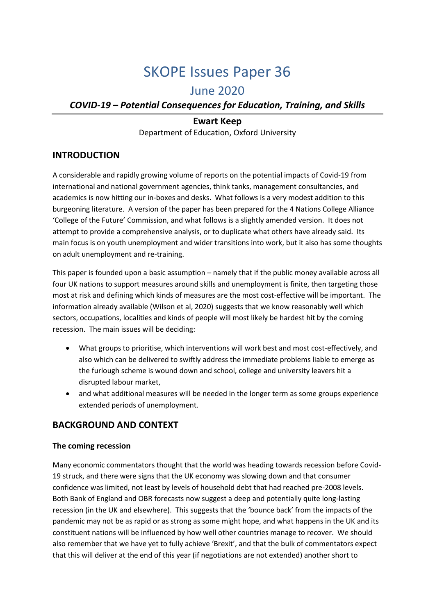# SKOPE Issues Paper 36

# June 2020

## *COVID-19 – Potential Consequences for Education, Training, and Skills*

## **Ewart Keep** Department of Education, Oxford University

## **INTRODUCTION**

A considerable and rapidly growing volume of reports on the potential impacts of Covid-19 from international and national government agencies, think tanks, management consultancies, and academics is now hitting our in-boxes and desks. What follows is a very modest addition to this burgeoning literature. A version of the paper has been prepared for the 4 Nations College Alliance 'College of the Future' Commission, and what follows is a slightly amended version. It does not attempt to provide a comprehensive analysis, or to duplicate what others have already said. Its main focus is on youth unemployment and wider transitions into work, but it also has some thoughts on adult unemployment and re-training.

This paper is founded upon a basic assumption – namely that if the public money available across all four UK nations to support measures around skills and unemployment is finite, then targeting those most at risk and defining which kinds of measures are the most cost-effective will be important. The information already available (Wilson et al, 2020) suggests that we know reasonably well which sectors, occupations, localities and kinds of people will most likely be hardest hit by the coming recession. The main issues will be deciding:

- What groups to prioritise, which interventions will work best and most cost-effectively, and also which can be delivered to swiftly address the immediate problems liable to emerge as the furlough scheme is wound down and school, college and university leavers hit a disrupted labour market,
- and what additional measures will be needed in the longer term as some groups experience extended periods of unemployment.

## **BACKGROUND AND CONTEXT**

#### **The coming recession**

Many economic commentators thought that the world was heading towards recession before Covid-19 struck, and there were signs that the UK economy was slowing down and that consumer confidence was limited, not least by levels of household debt that had reached pre-2008 levels. Both Bank of England and OBR forecasts now suggest a deep and potentially quite long-lasting recession (in the UK and elsewhere). This suggests that the 'bounce back' from the impacts of the pandemic may not be as rapid or as strong as some might hope, and what happens in the UK and its constituent nations will be influenced by how well other countries manage to recover. We should also remember that we have yet to fully achieve 'Brexit', and that the bulk of commentators expect that this will deliver at the end of this year (if negotiations are not extended) another short to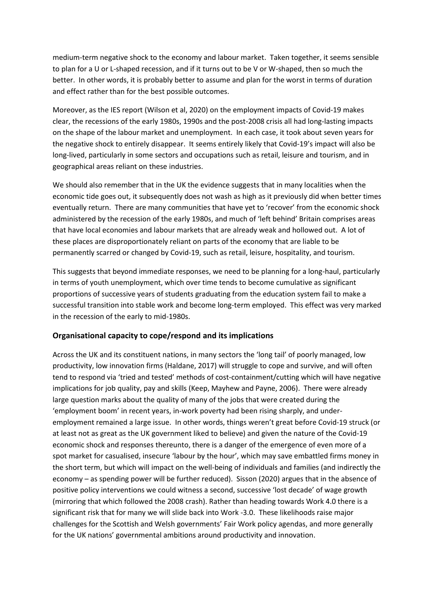medium-term negative shock to the economy and labour market. Taken together, it seems sensible to plan for a U or L-shaped recession, and if it turns out to be V or W-shaped, then so much the better. In other words, it is probably better to assume and plan for the worst in terms of duration and effect rather than for the best possible outcomes.

Moreover, as the IES report (Wilson et al, 2020) on the employment impacts of Covid-19 makes clear, the recessions of the early 1980s, 1990s and the post-2008 crisis all had long-lasting impacts on the shape of the labour market and unemployment. In each case, it took about seven years for the negative shock to entirely disappear. It seems entirely likely that Covid-19's impact will also be long-lived, particularly in some sectors and occupations such as retail, leisure and tourism, and in geographical areas reliant on these industries.

We should also remember that in the UK the evidence suggests that in many localities when the economic tide goes out, it subsequently does not wash as high as it previously did when better times eventually return. There are many communities that have yet to 'recover' from the economic shock administered by the recession of the early 1980s, and much of 'left behind' Britain comprises areas that have local economies and labour markets that are already weak and hollowed out. A lot of these places are disproportionately reliant on parts of the economy that are liable to be permanently scarred or changed by Covid-19, such as retail, leisure, hospitality, and tourism.

This suggests that beyond immediate responses, we need to be planning for a long-haul, particularly in terms of youth unemployment, which over time tends to become cumulative as significant proportions of successive years of students graduating from the education system fail to make a successful transition into stable work and become long-term employed. This effect was very marked in the recession of the early to mid-1980s.

#### **Organisational capacity to cope/respond and its implications**

Across the UK and its constituent nations, in many sectors the 'long tail' of poorly managed, low productivity, low innovation firms (Haldane, 2017) will struggle to cope and survive, and will often tend to respond via 'tried and tested' methods of cost-containment/cutting which will have negative implications for job quality, pay and skills (Keep, Mayhew and Payne, 2006). There were already large question marks about the quality of many of the jobs that were created during the 'employment boom' in recent years, in-work poverty had been rising sharply, and underemployment remained a large issue. In other words, things weren't great before Covid-19 struck (or at least not as great as the UK government liked to believe) and given the nature of the Covid-19 economic shock and responses thereunto, there is a danger of the emergence of even more of a spot market for casualised, insecure 'labour by the hour', which may save embattled firms money in the short term, but which will impact on the well-being of individuals and families (and indirectly the economy – as spending power will be further reduced). Sisson (2020) argues that in the absence of positive policy interventions we could witness a second, successive 'lost decade' of wage growth (mirroring that which followed the 2008 crash). Rather than heading towards Work 4.0 there is a significant risk that for many we will slide back into Work -3.0. These likelihoods raise major challenges for the Scottish and Welsh governments' Fair Work policy agendas, and more generally for the UK nations' governmental ambitions around productivity and innovation.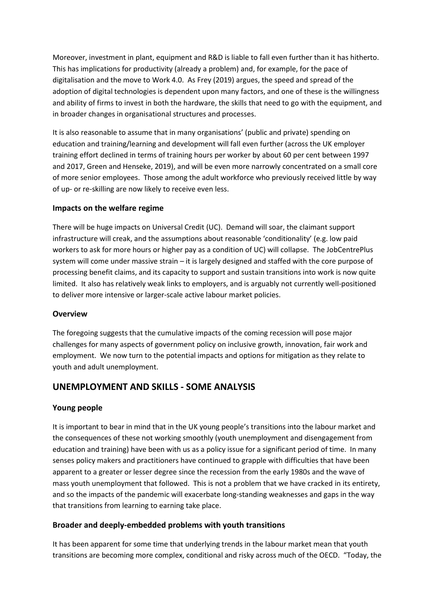Moreover, investment in plant, equipment and R&D is liable to fall even further than it has hitherto. This has implications for productivity (already a problem) and, for example, for the pace of digitalisation and the move to Work 4.0. As Frey (2019) argues, the speed and spread of the adoption of digital technologies is dependent upon many factors, and one of these is the willingness and ability of firms to invest in both the hardware, the skills that need to go with the equipment, and in broader changes in organisational structures and processes.

It is also reasonable to assume that in many organisations' (public and private) spending on education and training/learning and development will fall even further (across the UK employer training effort declined in terms of training hours per worker by about 60 per cent between 1997 and 2017, Green and Henseke, 2019), and will be even more narrowly concentrated on a small core of more senior employees. Those among the adult workforce who previously received little by way of up- or re-skilling are now likely to receive even less.

#### **Impacts on the welfare regime**

There will be huge impacts on Universal Credit (UC). Demand will soar, the claimant support infrastructure will creak, and the assumptions about reasonable 'conditionality' (e.g. low paid workers to ask for more hours or higher pay as a condition of UC) will collapse. The JobCentrePlus system will come under massive strain – it is largely designed and staffed with the core purpose of processing benefit claims, and its capacity to support and sustain transitions into work is now quite limited. It also has relatively weak links to employers, and is arguably not currently well-positioned to deliver more intensive or larger-scale active labour market policies.

## **Overview**

The foregoing suggests that the cumulative impacts of the coming recession will pose major challenges for many aspects of government policy on inclusive growth, innovation, fair work and employment. We now turn to the potential impacts and options for mitigation as they relate to youth and adult unemployment.

## **UNEMPLOYMENT AND SKILLS - SOME ANALYSIS**

## **Young people**

It is important to bear in mind that in the UK young people's transitions into the labour market and the consequences of these not working smoothly (youth unemployment and disengagement from education and training) have been with us as a policy issue for a significant period of time. In many senses policy makers and practitioners have continued to grapple with difficulties that have been apparent to a greater or lesser degree since the recession from the early 1980s and the wave of mass youth unemployment that followed. This is not a problem that we have cracked in its entirety, and so the impacts of the pandemic will exacerbate long-standing weaknesses and gaps in the way that transitions from learning to earning take place.

## **Broader and deeply-embedded problems with youth transitions**

It has been apparent for some time that underlying trends in the labour market mean that youth transitions are becoming more complex, conditional and risky across much of the OECD. "Today, the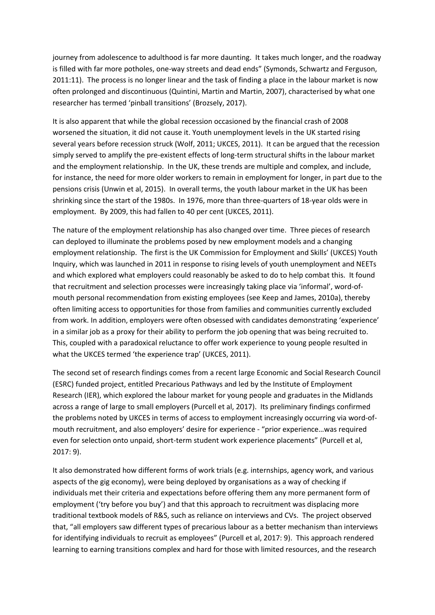journey from adolescence to adulthood is far more daunting. It takes much longer, and the roadway is filled with far more potholes, one-way streets and dead ends" (Symonds, Schwartz and Ferguson, 2011:11). The process is no longer linear and the task of finding a place in the labour market is now often prolonged and discontinuous (Quintini, Martin and Martin, 2007), characterised by what one researcher has termed 'pinball transitions' (Brozsely, 2017).

It is also apparent that while the global recession occasioned by the financial crash of 2008 worsened the situation, it did not cause it. Youth unemployment levels in the UK started rising several years before recession struck (Wolf, 2011; UKCES, 2011). It can be argued that the recession simply served to amplify the pre-existent effects of long-term structural shifts in the labour market and the employment relationship. In the UK, these trends are multiple and complex, and include, for instance, the need for more older workers to remain in employment for longer, in part due to the pensions crisis (Unwin et al, 2015). In overall terms, the youth labour market in the UK has been shrinking since the start of the 1980s. In 1976, more than three-quarters of 18-year olds were in employment. By 2009, this had fallen to 40 per cent (UKCES, 2011).

The nature of the employment relationship has also changed over time. Three pieces of research can deployed to illuminate the problems posed by new employment models and a changing employment relationship. The first is the UK Commission for Employment and Skills' (UKCES) Youth Inquiry, which was launched in 2011 in response to rising levels of youth unemployment and NEETs and which explored what employers could reasonably be asked to do to help combat this. It found that recruitment and selection processes were increasingly taking place via 'informal', word-ofmouth personal recommendation from existing employees (see Keep and James, 2010a), thereby often limiting access to opportunities for those from families and communities currently excluded from work. In addition, employers were often obsessed with candidates demonstrating 'experience' in a similar job as a proxy for their ability to perform the job opening that was being recruited to. This, coupled with a paradoxical reluctance to offer work experience to young people resulted in what the UKCES termed 'the experience trap' (UKCES, 2011).

The second set of research findings comes from a recent large Economic and Social Research Council (ESRC) funded project, entitled Precarious Pathways and led by the Institute of Employment Research (IER), which explored the labour market for young people and graduates in the Midlands across a range of large to small employers (Purcell et al, 2017). Its preliminary findings confirmed the problems noted by UKCES in terms of access to employment increasingly occurring via word-ofmouth recruitment, and also employers' desire for experience - "prior experience…was required even for selection onto unpaid, short-term student work experience placements" (Purcell et al, 2017: 9).

It also demonstrated how different forms of work trials (e.g. internships, agency work, and various aspects of the gig economy), were being deployed by organisations as a way of checking if individuals met their criteria and expectations before offering them any more permanent form of employment ('try before you buy') and that this approach to recruitment was displacing more traditional textbook models of R&S, such as reliance on interviews and CVs. The project observed that, "all employers saw different types of precarious labour as a better mechanism than interviews for identifying individuals to recruit as employees" (Purcell et al, 2017: 9). This approach rendered learning to earning transitions complex and hard for those with limited resources, and the research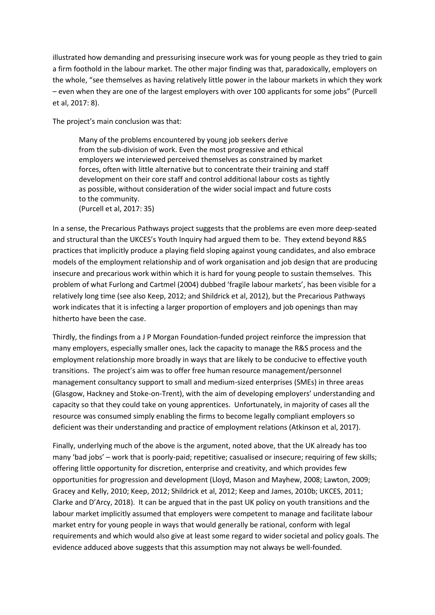illustrated how demanding and pressurising insecure work was for young people as they tried to gain a firm foothold in the labour market. The other major finding was that, paradoxically, employers on the whole, "see themselves as having relatively little power in the labour markets in which they work – even when they are one of the largest employers with over 100 applicants for some jobs" (Purcell et al, 2017: 8).

The project's main conclusion was that:

Many of the problems encountered by young job seekers derive from the sub-division of work. Even the most progressive and ethical employers we interviewed perceived themselves as constrained by market forces, often with little alternative but to concentrate their training and staff development on their core staff and control additional labour costs as tightly as possible, without consideration of the wider social impact and future costs to the community.

(Purcell et al, 2017: 35)

In a sense, the Precarious Pathways project suggests that the problems are even more deep-seated and structural than the UKCES's Youth Inquiry had argued them to be. They extend beyond R&S practices that implicitly produce a playing field sloping against young candidates, and also embrace models of the employment relationship and of work organisation and job design that are producing insecure and precarious work within which it is hard for young people to sustain themselves. This problem of what Furlong and Cartmel (2004) dubbed 'fragile labour markets', has been visible for a relatively long time (see also Keep, 2012; and Shildrick et al, 2012), but the Precarious Pathways work indicates that it is infecting a larger proportion of employers and job openings than may hitherto have been the case.

Thirdly, the findings from a J P Morgan Foundation-funded project reinforce the impression that many employers, especially smaller ones, lack the capacity to manage the R&S process and the employment relationship more broadly in ways that are likely to be conducive to effective youth transitions. The project's aim was to offer free human resource management/personnel management consultancy support to small and medium-sized enterprises (SMEs) in three areas (Glasgow, Hackney and Stoke-on-Trent), with the aim of developing employers' understanding and capacity so that they could take on young apprentices. Unfortunately, in majority of cases all the resource was consumed simply enabling the firms to become legally compliant employers so deficient was their understanding and practice of employment relations (Atkinson et al, 2017).

Finally, underlying much of the above is the argument, noted above, that the UK already has too many 'bad jobs' – work that is poorly-paid; repetitive; casualised or insecure; requiring of few skills; offering little opportunity for discretion, enterprise and creativity, and which provides few opportunities for progression and development (Lloyd, Mason and Mayhew, 2008; Lawton, 2009; Gracey and Kelly, 2010; Keep, 2012; Shildrick et al, 2012; Keep and James, 2010b; UKCES, 2011; Clarke and D'Arcy, 2018). It can be argued that in the past UK policy on youth transitions and the labour market implicitly assumed that employers were competent to manage and facilitate labour market entry for young people in ways that would generally be rational, conform with legal requirements and which would also give at least some regard to wider societal and policy goals. The evidence adduced above suggests that this assumption may not always be well-founded.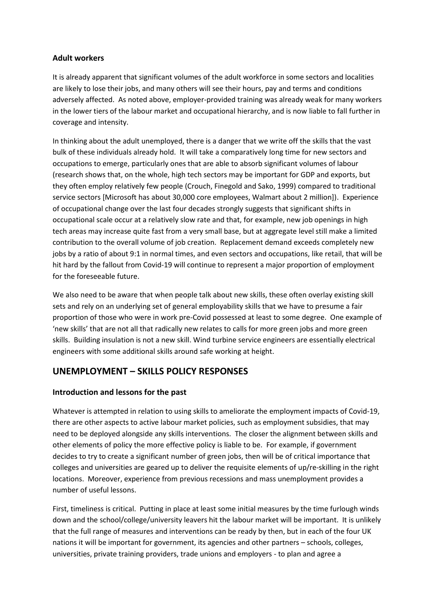#### **Adult workers**

It is already apparent that significant volumes of the adult workforce in some sectors and localities are likely to lose their jobs, and many others will see their hours, pay and terms and conditions adversely affected. As noted above, employer-provided training was already weak for many workers in the lower tiers of the labour market and occupational hierarchy, and is now liable to fall further in coverage and intensity.

In thinking about the adult unemployed, there is a danger that we write off the skills that the vast bulk of these individuals already hold. It will take a comparatively long time for new sectors and occupations to emerge, particularly ones that are able to absorb significant volumes of labour (research shows that, on the whole, high tech sectors may be important for GDP and exports, but they often employ relatively few people (Crouch, Finegold and Sako, 1999) compared to traditional service sectors [Microsoft has about 30,000 core employees, Walmart about 2 million]). Experience of occupational change over the last four decades strongly suggests that significant shifts in occupational scale occur at a relatively slow rate and that, for example, new job openings in high tech areas may increase quite fast from a very small base, but at aggregate level still make a limited contribution to the overall volume of job creation. Replacement demand exceeds completely new jobs by a ratio of about 9:1 in normal times, and even sectors and occupations, like retail, that will be hit hard by the fallout from Covid-19 will continue to represent a major proportion of employment for the foreseeable future.

We also need to be aware that when people talk about new skills, these often overlay existing skill sets and rely on an underlying set of general employability skills that we have to presume a fair proportion of those who were in work pre-Covid possessed at least to some degree. One example of 'new skills' that are not all that radically new relates to calls for more green jobs and more green skills. Building insulation is not a new skill. Wind turbine service engineers are essentially electrical engineers with some additional skills around safe working at height.

## **UNEMPLOYMENT – SKILLS POLICY RESPONSES**

## **Introduction and lessons for the past**

Whatever is attempted in relation to using skills to ameliorate the employment impacts of Covid-19, there are other aspects to active labour market policies, such as employment subsidies, that may need to be deployed alongside any skills interventions. The closer the alignment between skills and other elements of policy the more effective policy is liable to be. For example, if government decides to try to create a significant number of green jobs, then will be of critical importance that colleges and universities are geared up to deliver the requisite elements of up/re-skilling in the right locations. Moreover, experience from previous recessions and mass unemployment provides a number of useful lessons.

First, timeliness is critical. Putting in place at least some initial measures by the time furlough winds down and the school/college/university leavers hit the labour market will be important. It is unlikely that the full range of measures and interventions can be ready by then, but in each of the four UK nations it will be important for government, its agencies and other partners – schools, colleges, universities, private training providers, trade unions and employers - to plan and agree a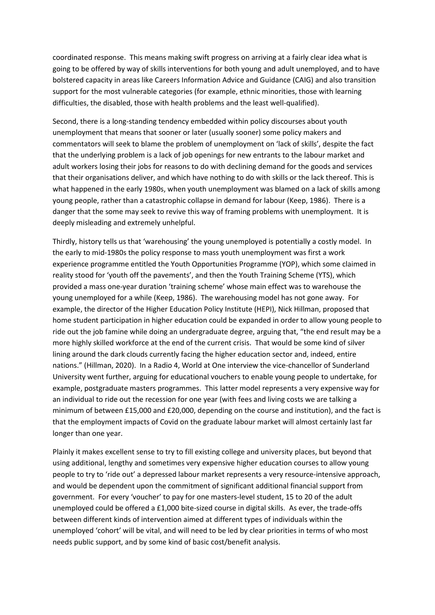coordinated response. This means making swift progress on arriving at a fairly clear idea what is going to be offered by way of skills interventions for both young and adult unemployed, and to have bolstered capacity in areas like Careers Information Advice and Guidance (CAIG) and also transition support for the most vulnerable categories (for example, ethnic minorities, those with learning difficulties, the disabled, those with health problems and the least well-qualified).

Second, there is a long-standing tendency embedded within policy discourses about youth unemployment that means that sooner or later (usually sooner) some policy makers and commentators will seek to blame the problem of unemployment on 'lack of skills', despite the fact that the underlying problem is a lack of job openings for new entrants to the labour market and adult workers losing their jobs for reasons to do with declining demand for the goods and services that their organisations deliver, and which have nothing to do with skills or the lack thereof. This is what happened in the early 1980s, when youth unemployment was blamed on a lack of skills among young people, rather than a catastrophic collapse in demand for labour (Keep, 1986). There is a danger that the some may seek to revive this way of framing problems with unemployment. It is deeply misleading and extremely unhelpful.

Thirdly, history tells us that 'warehousing' the young unemployed is potentially a costly model. In the early to mid-1980s the policy response to mass youth unemployment was first a work experience programme entitled the Youth Opportunities Programme (YOP), which some claimed in reality stood for 'youth off the pavements', and then the Youth Training Scheme (YTS), which provided a mass one-year duration 'training scheme' whose main effect was to warehouse the young unemployed for a while (Keep, 1986). The warehousing model has not gone away. For example, the director of the Higher Education Policy Institute (HEPI), Nick Hillman, proposed that home student participation in higher education could be expanded in order to allow young people to ride out the job famine while doing an undergraduate degree, arguing that, "the end result may be a more highly skilled workforce at the end of the current crisis. That would be some kind of silver lining around the dark clouds currently facing the higher education sector and, indeed, entire nations." (Hillman, 2020). In a Radio 4, World at One interview the vice-chancellor of Sunderland University went further, arguing for educational vouchers to enable young people to undertake, for example, postgraduate masters programmes. This latter model represents a very expensive way for an individual to ride out the recession for one year (with fees and living costs we are talking a minimum of between £15,000 and £20,000, depending on the course and institution), and the fact is that the employment impacts of Covid on the graduate labour market will almost certainly last far longer than one year.

Plainly it makes excellent sense to try to fill existing college and university places, but beyond that using additional, lengthy and sometimes very expensive higher education courses to allow young people to try to 'ride out' a depressed labour market represents a very resource-intensive approach, and would be dependent upon the commitment of significant additional financial support from government. For every 'voucher' to pay for one masters-level student, 15 to 20 of the adult unemployed could be offered a £1,000 bite-sized course in digital skills. As ever, the trade-offs between different kinds of intervention aimed at different types of individuals within the unemployed 'cohort' will be vital, and will need to be led by clear priorities in terms of who most needs public support, and by some kind of basic cost/benefit analysis.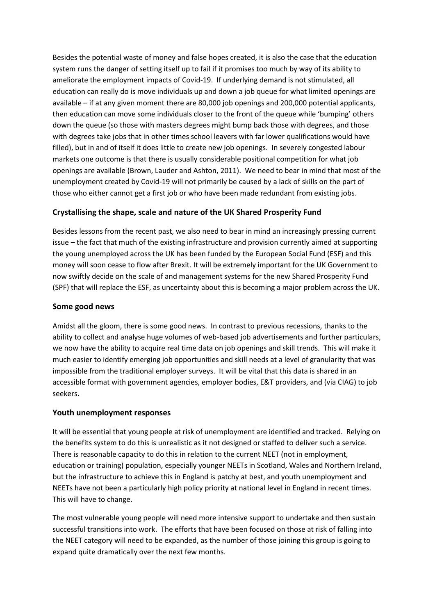Besides the potential waste of money and false hopes created, it is also the case that the education system runs the danger of setting itself up to fail if it promises too much by way of its ability to ameliorate the employment impacts of Covid-19. If underlying demand is not stimulated, all education can really do is move individuals up and down a job queue for what limited openings are available – if at any given moment there are 80,000 job openings and 200,000 potential applicants, then education can move some individuals closer to the front of the queue while 'bumping' others down the queue (so those with masters degrees might bump back those with degrees, and those with degrees take jobs that in other times school leavers with far lower qualifications would have filled), but in and of itself it does little to create new job openings. In severely congested labour markets one outcome is that there is usually considerable positional competition for what job openings are available (Brown, Lauder and Ashton, 2011). We need to bear in mind that most of the unemployment created by Covid-19 will not primarily be caused by a lack of skills on the part of those who either cannot get a first job or who have been made redundant from existing jobs.

#### **Crystallising the shape, scale and nature of the UK Shared Prosperity Fund**

Besides lessons from the recent past, we also need to bear in mind an increasingly pressing current issue – the fact that much of the existing infrastructure and provision currently aimed at supporting the young unemployed across the UK has been funded by the European Social Fund (ESF) and this money will soon cease to flow after Brexit. It will be extremely important for the UK Government to now swiftly decide on the scale of and management systems for the new Shared Prosperity Fund (SPF) that will replace the ESF, as uncertainty about this is becoming a major problem across the UK.

#### **Some good news**

Amidst all the gloom, there is some good news. In contrast to previous recessions, thanks to the ability to collect and analyse huge volumes of web-based job advertisements and further particulars, we now have the ability to acquire real time data on job openings and skill trends. This will make it much easier to identify emerging job opportunities and skill needs at a level of granularity that was impossible from the traditional employer surveys. It will be vital that this data is shared in an accessible format with government agencies, employer bodies, E&T providers, and (via CIAG) to job seekers.

#### **Youth unemployment responses**

It will be essential that young people at risk of unemployment are identified and tracked. Relying on the benefits system to do this is unrealistic as it not designed or staffed to deliver such a service. There is reasonable capacity to do this in relation to the current NEET (not in employment, education or training) population, especially younger NEETs in Scotland, Wales and Northern Ireland, but the infrastructure to achieve this in England is patchy at best, and youth unemployment and NEETs have not been a particularly high policy priority at national level in England in recent times. This will have to change.

The most vulnerable young people will need more intensive support to undertake and then sustain successful transitions into work. The efforts that have been focused on those at risk of falling into the NEET category will need to be expanded, as the number of those joining this group is going to expand quite dramatically over the next few months.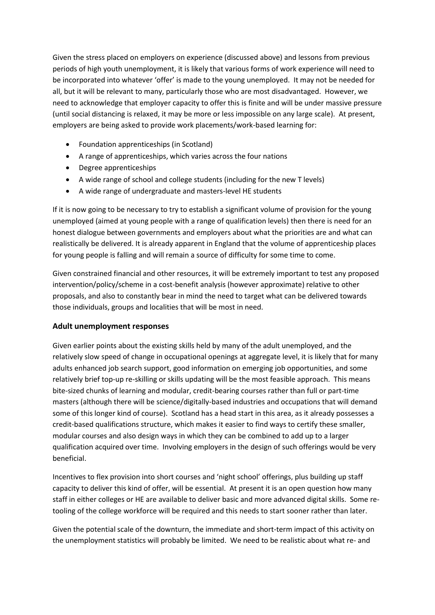Given the stress placed on employers on experience (discussed above) and lessons from previous periods of high youth unemployment, it is likely that various forms of work experience will need to be incorporated into whatever 'offer' is made to the young unemployed. It may not be needed for all, but it will be relevant to many, particularly those who are most disadvantaged. However, we need to acknowledge that employer capacity to offer this is finite and will be under massive pressure (until social distancing is relaxed, it may be more or less impossible on any large scale). At present, employers are being asked to provide work placements/work-based learning for:

- Foundation apprenticeships (in Scotland)
- A range of apprenticeships, which varies across the four nations
- Degree apprenticeships
- A wide range of school and college students (including for the new T levels)
- A wide range of undergraduate and masters-level HE students

If it is now going to be necessary to try to establish a significant volume of provision for the young unemployed (aimed at young people with a range of qualification levels) then there is need for an honest dialogue between governments and employers about what the priorities are and what can realistically be delivered. It is already apparent in England that the volume of apprenticeship places for young people is falling and will remain a source of difficulty for some time to come.

Given constrained financial and other resources, it will be extremely important to test any proposed intervention/policy/scheme in a cost-benefit analysis (however approximate) relative to other proposals, and also to constantly bear in mind the need to target what can be delivered towards those individuals, groups and localities that will be most in need.

#### **Adult unemployment responses**

Given earlier points about the existing skills held by many of the adult unemployed, and the relatively slow speed of change in occupational openings at aggregate level, it is likely that for many adults enhanced job search support, good information on emerging job opportunities, and some relatively brief top-up re-skilling or skills updating will be the most feasible approach. This means bite-sized chunks of learning and modular, credit-bearing courses rather than full or part-time masters (although there will be science/digitally-based industries and occupations that will demand some of this longer kind of course). Scotland has a head start in this area, as it already possesses a credit-based qualifications structure, which makes it easier to find ways to certify these smaller, modular courses and also design ways in which they can be combined to add up to a larger qualification acquired over time. Involving employers in the design of such offerings would be very beneficial.

Incentives to flex provision into short courses and 'night school' offerings, plus building up staff capacity to deliver this kind of offer, will be essential. At present it is an open question how many staff in either colleges or HE are available to deliver basic and more advanced digital skills. Some retooling of the college workforce will be required and this needs to start sooner rather than later.

Given the potential scale of the downturn, the immediate and short-term impact of this activity on the unemployment statistics will probably be limited. We need to be realistic about what re- and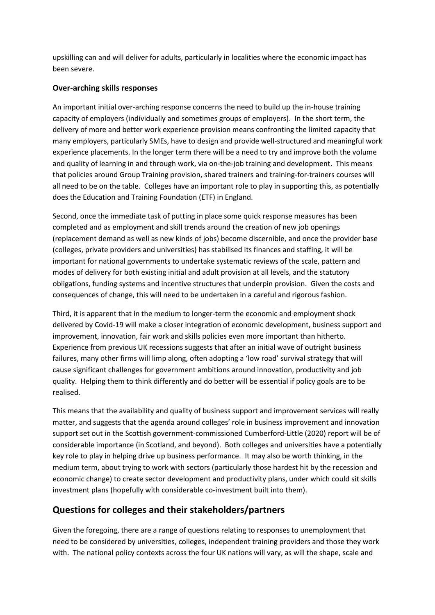upskilling can and will deliver for adults, particularly in localities where the economic impact has been severe.

#### **Over-arching skills responses**

An important initial over-arching response concerns the need to build up the in-house training capacity of employers (individually and sometimes groups of employers). In the short term, the delivery of more and better work experience provision means confronting the limited capacity that many employers, particularly SMEs, have to design and provide well-structured and meaningful work experience placements. In the longer term there will be a need to try and improve both the volume and quality of learning in and through work, via on-the-job training and development. This means that policies around Group Training provision, shared trainers and training-for-trainers courses will all need to be on the table. Colleges have an important role to play in supporting this, as potentially does the Education and Training Foundation (ETF) in England.

Second, once the immediate task of putting in place some quick response measures has been completed and as employment and skill trends around the creation of new job openings (replacement demand as well as new kinds of jobs) become discernible, and once the provider base (colleges, private providers and universities) has stabilised its finances and staffing, it will be important for national governments to undertake systematic reviews of the scale, pattern and modes of delivery for both existing initial and adult provision at all levels, and the statutory obligations, funding systems and incentive structures that underpin provision. Given the costs and consequences of change, this will need to be undertaken in a careful and rigorous fashion.

Third, it is apparent that in the medium to longer-term the economic and employment shock delivered by Covid-19 will make a closer integration of economic development, business support and improvement, innovation, fair work and skills policies even more important than hitherto. Experience from previous UK recessions suggests that after an initial wave of outright business failures, many other firms will limp along, often adopting a 'low road' survival strategy that will cause significant challenges for government ambitions around innovation, productivity and job quality. Helping them to think differently and do better will be essential if policy goals are to be realised.

This means that the availability and quality of business support and improvement services will really matter, and suggests that the agenda around colleges' role in business improvement and innovation support set out in the Scottish government-commissioned Cumberford-Little (2020) report will be of considerable importance (in Scotland, and beyond). Both colleges and universities have a potentially key role to play in helping drive up business performance. It may also be worth thinking, in the medium term, about trying to work with sectors (particularly those hardest hit by the recession and economic change) to create sector development and productivity plans, under which could sit skills investment plans (hopefully with considerable co-investment built into them).

## **Questions for colleges and their stakeholders/partners**

Given the foregoing, there are a range of questions relating to responses to unemployment that need to be considered by universities, colleges, independent training providers and those they work with. The national policy contexts across the four UK nations will vary, as will the shape, scale and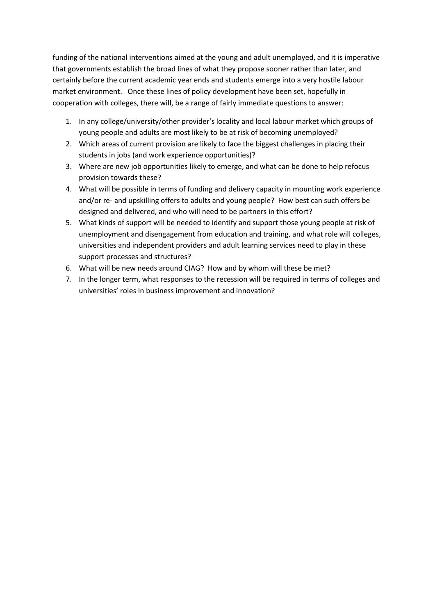funding of the national interventions aimed at the young and adult unemployed, and it is imperative that governments establish the broad lines of what they propose sooner rather than later, and certainly before the current academic year ends and students emerge into a very hostile labour market environment. Once these lines of policy development have been set, hopefully in cooperation with colleges, there will, be a range of fairly immediate questions to answer:

- 1. In any college/university/other provider's locality and local labour market which groups of young people and adults are most likely to be at risk of becoming unemployed?
- 2. Which areas of current provision are likely to face the biggest challenges in placing their students in jobs (and work experience opportunities)?
- 3. Where are new job opportunities likely to emerge, and what can be done to help refocus provision towards these?
- 4. What will be possible in terms of funding and delivery capacity in mounting work experience and/or re- and upskilling offers to adults and young people? How best can such offers be designed and delivered, and who will need to be partners in this effort?
- 5. What kinds of support will be needed to identify and support those young people at risk of unemployment and disengagement from education and training, and what role will colleges, universities and independent providers and adult learning services need to play in these support processes and structures?
- 6. What will be new needs around CIAG? How and by whom will these be met?
- 7. In the longer term, what responses to the recession will be required in terms of colleges and universities' roles in business improvement and innovation?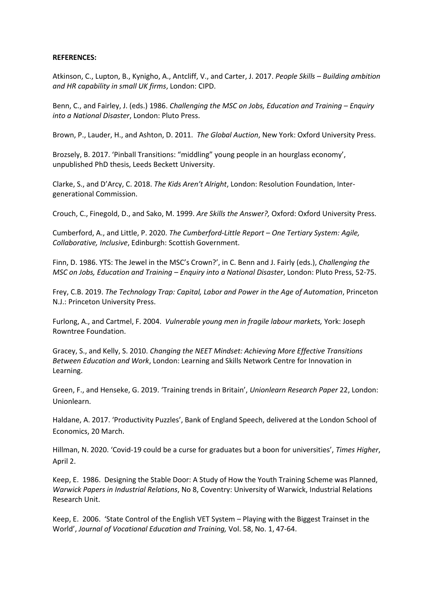#### **REFERENCES:**

Atkinson, C., Lupton, B., Kynigho, A., Antcliff, V., and Carter, J. 2017. *People Skills – Building ambition and HR capability in small UK firms*, London: CIPD.

Benn, C., and Fairley, J. (eds.) 1986. *Challenging the MSC on Jobs, Education and Training – Enquiry into a National Disaster*, London: Pluto Press.

Brown, P., Lauder, H., and Ashton, D. 2011. *The Global Auction*, New York: Oxford University Press.

Brozsely, B. 2017. 'Pinball Transitions: "middling" young people in an hourglass economy', unpublished PhD thesis, Leeds Beckett University.

Clarke, S., and D'Arcy, C. 2018. *The Kids Aren't Alright*, London: Resolution Foundation, Intergenerational Commission.

Crouch, C., Finegold, D., and Sako, M. 1999. *Are Skills the Answer?,* Oxford: Oxford University Press.

Cumberford, A., and Little, P. 2020. *The Cumberford-Little Report – One Tertiary System: Agile, Collaborative, Inclusive*, Edinburgh: Scottish Government.

Finn, D. 1986. YTS: The Jewel in the MSC's Crown?', in C. Benn and J. Fairly (eds.), *Challenging the MSC on Jobs, Education and Training – Enquiry into a National Disaster*, London: Pluto Press, 52-75.

Frey, C.B. 2019. *The Technology Trap: Capital, Labor and Power in the Age of Automation*, Princeton N.J.: Princeton University Press.

Furlong, A., and Cartmel, F. 2004. *Vulnerable young men in fragile labour markets,* York: Joseph Rowntree Foundation.

Gracey, S., and Kelly, S. 2010. *Changing the NEET Mindset: Achieving More Effective Transitions Between Education and Work*, London: Learning and Skills Network Centre for Innovation in Learning.

Green, F., and Henseke, G. 2019. 'Training trends in Britain', *Unionlearn Research Paper* 22, London: Unionlearn.

Haldane, A. 2017. 'Productivity Puzzles', Bank of England Speech, delivered at the London School of Economics, 20 March.

Hillman, N. 2020. 'Covid-19 could be a curse for graduates but a boon for universities', *Times Higher*, April 2.

Keep, E. 1986. Designing the Stable Door: A Study of How the Youth Training Scheme was Planned, *Warwick Papers in Industrial Relations*, No 8, Coventry: University of Warwick, Industrial Relations Research Unit.

Keep, E. 2006. 'State Control of the English VET System – Playing with the Biggest Trainset in the World', *Journal of Vocational Education and Training,* Vol. 58, No. 1, 47-64.